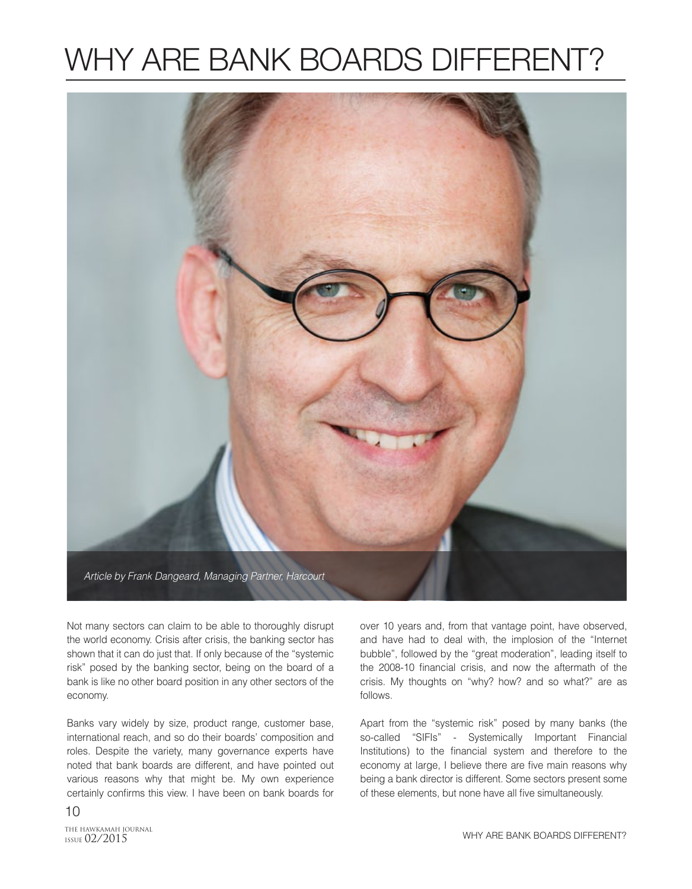## WHY ARE BANK BOARDS DIFFERENT?



Not many sectors can claim to be able to thoroughly disrupt the world economy. Crisis after crisis, the banking sector has shown that it can do just that. If only because of the "systemic risk" posed by the banking sector, being on the board of a bank is like no other board position in any other sectors of the economy.

Banks vary widely by size, product range, customer base, international reach, and so do their boards' composition and roles. Despite the variety, many governance experts have noted that bank boards are different, and have pointed out various reasons why that might be. My own experience certainly confirms this view. I have been on bank boards for

10

ISSUE 02/2015

over 10 years and, from that vantage point, have observed, and have had to deal with, the implosion of the "Internet bubble", followed by the "great moderation", leading itself to the 2008-10 financial crisis, and now the aftermath of the crisis. My thoughts on "why? how? and so what?" are as follows.

Apart from the "systemic risk" posed by many banks (the so-called "SIFIs" - Systemically Important Financial Institutions) to the financial system and therefore to the economy at large, I believe there are five main reasons why being a bank director is different. Some sectors present some of these elements, but none have all five simultaneously.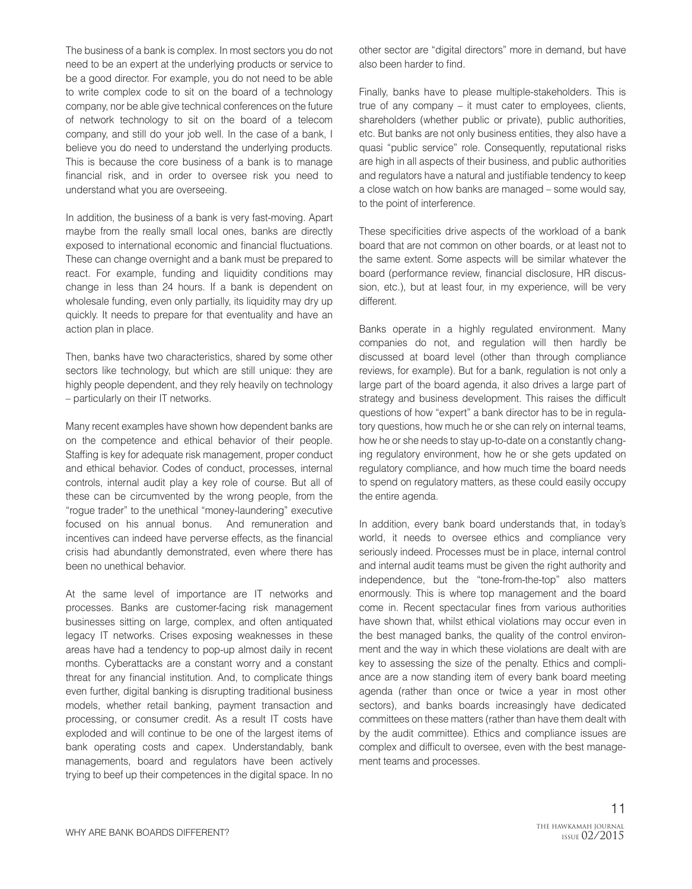The business of a bank is complex. In most sectors you do not need to be an expert at the underlying products or service to be a good director. For example, you do not need to be able to write complex code to sit on the board of a technology company, nor be able give technical conferences on the future of network technology to sit on the board of a telecom company, and still do your job well. In the case of a bank, I believe you do need to understand the underlying products. This is because the core business of a bank is to manage financial risk, and in order to oversee risk you need to understand what you are overseeing.

In addition, the business of a bank is very fast-moving. Apart maybe from the really small local ones, banks are directly exposed to international economic and financial fluctuations. These can change overnight and a bank must be prepared to react. For example, funding and liquidity conditions may change in less than 24 hours. If a bank is dependent on wholesale funding, even only partially, its liquidity may dry up quickly. It needs to prepare for that eventuality and have an action plan in place.

Then, banks have two characteristics, shared by some other sectors like technology, but which are still unique: they are highly people dependent, and they rely heavily on technology – particularly on their IT networks.

Many recent examples have shown how dependent banks are on the competence and ethical behavior of their people. Staffing is key for adequate risk management, proper conduct and ethical behavior. Codes of conduct, processes, internal controls, internal audit play a key role of course. But all of these can be circumvented by the wrong people, from the "rogue trader" to the unethical "money-laundering" executive focused on his annual bonus. And remuneration and incentives can indeed have perverse effects, as the financial crisis had abundantly demonstrated, even where there has been no unethical behavior.

At the same level of importance are IT networks and processes. Banks are customer-facing risk management businesses sitting on large, complex, and often antiquated legacy IT networks. Crises exposing weaknesses in these areas have had a tendency to pop-up almost daily in recent months. Cyberattacks are a constant worry and a constant threat for any financial institution. And, to complicate things even further, digital banking is disrupting traditional business models, whether retail banking, payment transaction and processing, or consumer credit. As a result IT costs have exploded and will continue to be one of the largest items of bank operating costs and capex. Understandably, bank managements, board and regulators have been actively trying to beef up their competences in the digital space. In no

other sector are "digital directors" more in demand, but have also been harder to find.

Finally, banks have to please multiple-stakeholders. This is true of any company – it must cater to employees, clients, shareholders (whether public or private), public authorities, etc. But banks are not only business entities, they also have a quasi "public service" role. Consequently, reputational risks are high in all aspects of their business, and public authorities and regulators have a natural and justifiable tendency to keep a close watch on how banks are managed – some would say, to the point of interference.

These specificities drive aspects of the workload of a bank board that are not common on other boards, or at least not to the same extent. Some aspects will be similar whatever the board (performance review, financial disclosure, HR discussion, etc.), but at least four, in my experience, will be very different.

Banks operate in a highly regulated environment. Many companies do not, and regulation will then hardly be discussed at board level (other than through compliance reviews, for example). But for a bank, regulation is not only a large part of the board agenda, it also drives a large part of strategy and business development. This raises the difficult questions of how "expert" a bank director has to be in regulatory questions, how much he or she can rely on internal teams, how he or she needs to stay up-to-date on a constantly changing regulatory environment, how he or she gets updated on regulatory compliance, and how much time the board needs to spend on regulatory matters, as these could easily occupy the entire agenda.

In addition, every bank board understands that, in today's world, it needs to oversee ethics and compliance very seriously indeed. Processes must be in place, internal control and internal audit teams must be given the right authority and independence, but the "tone-from-the-top" also matters enormously. This is where top management and the board come in. Recent spectacular fines from various authorities have shown that, whilst ethical violations may occur even in the best managed banks, the quality of the control environment and the way in which these violations are dealt with are key to assessing the size of the penalty. Ethics and compliance are a now standing item of every bank board meeting agenda (rather than once or twice a year in most other sectors), and banks boards increasingly have dedicated committees on these matters (rather than have them dealt with by the audit committee). Ethics and compliance issues are complex and difficult to oversee, even with the best management teams and processes.